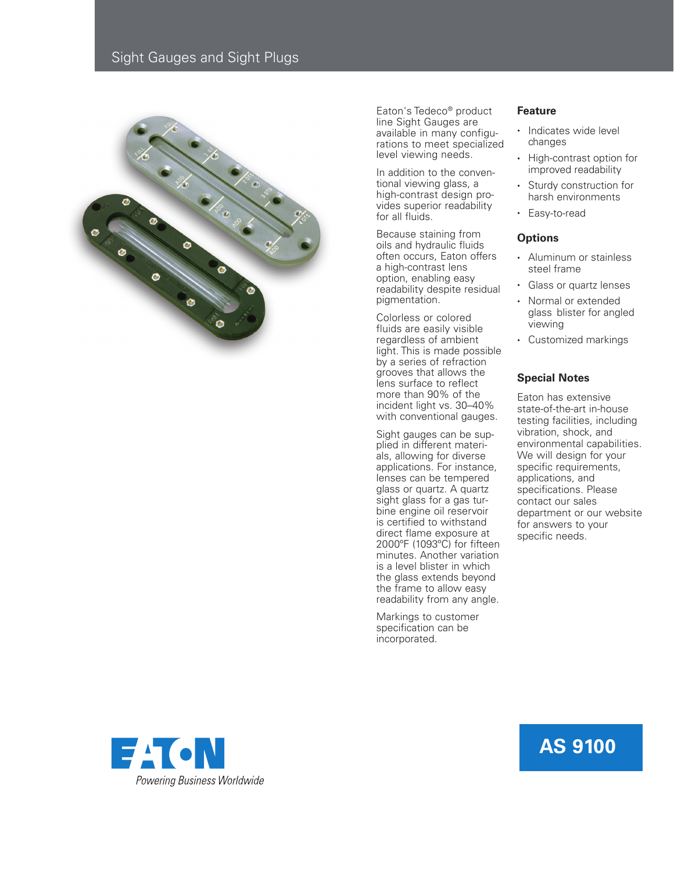

Eaton's Tedeco® product line Sight Gauges are available in many configurations to meet specialized level viewing needs.

In addition to the conventional viewing glass, a high-contrast design provides superior readability for all fluids.

Because staining from oils and hydraulic fluids often occurs, Eaton offers a high-contrast lens option, enabling easy readability despite residual pigmentation.

Colorless or colored fluids are easily visible regardless of ambient light. This is made possible by a series of refraction grooves that allows the lens surface to reflect more than 90% of the incident light vs. 30–40% with conventional gauges.

Sight gauges can be supplied in different materials, allowing for diverse applications. For instance, lenses can be tempered glass or quartz. A quartz sight glass for a gas turbine engine oil reservoir is certified to withstand direct flame exposure at 2000ºF (1093ºC) for fifteen minutes. Another variation is a level blister in which the glass extends beyond the frame to allow easy readability from any angle.

Markings to customer specification can be incorporated.

### **Feature**

- Indicates wide level changes
- High-contrast option for improved readability
- Sturdy construction for harsh environments
- Easy-to-read

### **Options**

- Aluminum or stainless steel frame
- Glass or quartz lenses
- Normal or extended glass blister for angled viewing
- Customized markings

## **Special Notes**

Eaton has extensive state-of-the-art in-house testing facilities, including vibration, shock, and environmental capabilities. We will design for your specific requirements, applications, and specifications. Please contact our sales department or our website for answers to your specific needs.



# **AS 9100**